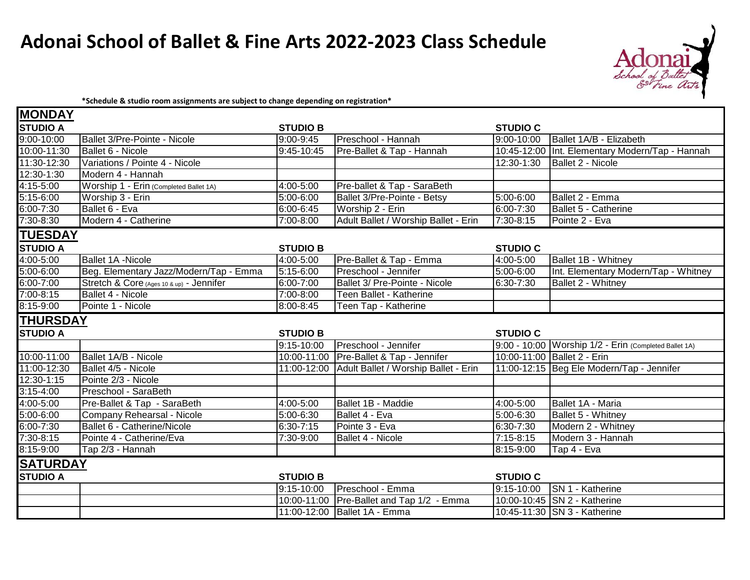## **Adonai School of Ballet & Fine Arts 2022-2023 Class Schedule**



**\*Schedule & studio room assignments are subject to change depending on registration\***

| <b>MONDAY</b>   |                                          |                 |                                           |                 |                                                       |
|-----------------|------------------------------------------|-----------------|-------------------------------------------|-----------------|-------------------------------------------------------|
| <b>STUDIO A</b> |                                          | <b>STUDIO B</b> |                                           | <b>STUDIO C</b> |                                                       |
| $9:00 - 10:00$  | Ballet 3/Pre-Pointe - Nicole             | $9:00 - 9:45$   | Preschool - Hannah                        | $9:00 - 10:00$  | Ballet 1A/B - Elizabeth                               |
| 10:00-11:30     | Ballet 6 - Nicole                        | 9:45-10:45      | Pre-Ballet & Tap - Hannah                 |                 | 10:45-12:00 Int. Elementary Modern/Tap - Hannah       |
| 11:30-12:30     | Variations / Pointe 4 - Nicole           |                 |                                           | 12:30-1:30      | Ballet 2 - Nicole                                     |
| 12:30-1:30      | Modern 4 - Hannah                        |                 |                                           |                 |                                                       |
| 4:15-5:00       | Worship 1 - Erin (Completed Ballet 1A)   | 4:00-5:00       | Pre-ballet & Tap - SaraBeth               |                 |                                                       |
| 5:15-6:00       | Worship 3 - Erin                         | $5:00 - 6:00$   | Ballet 3/Pre-Pointe - Betsy               | 5:00-6:00       | Ballet 2 - Emma                                       |
| 6:00-7:30       | Ballet 6 - Eva                           | 6:00-6:45       | Worship 2 - Erin                          | 6:00-7:30       | Ballet 5 - Catherine                                  |
| $7:30-8:30$     | Modern 4 - Catherine                     | 7:00-8:00       | Adult Ballet / Worship Ballet - Erin      | 7:30-8:15       | Pointe 2 - Eva                                        |
| <b>TUESDAY</b>  |                                          |                 |                                           |                 |                                                       |
| <b>STUDIO A</b> |                                          | <b>STUDIO B</b> |                                           | <b>STUDIO C</b> |                                                       |
| 4:00-5:00       | Ballet 1A -Nicole                        | 4:00-5:00       | Pre-Ballet & Tap - Emma                   | 4:00-5:00       | Ballet 1B - Whitney                                   |
| $5:00 - 6:00$   | Beg. Elementary Jazz/Modern/Tap - Emma   | 5:15-6:00       | Preschool - Jennifer                      | 5:00-6:00       | Int. Elementary Modern/Tap - Whitney                  |
| 6:00-7:00       | Stretch & Core (Ages 10 & up) - Jennifer | 6:00-7:00       | Ballet 3/ Pre-Pointe - Nicole             | 6:30-7:30       | Ballet 2 - Whitney                                    |
| 7:00-8:15       | Ballet 4 - Nicole                        | 7:00-8:00       | Teen Ballet - Katherine                   |                 |                                                       |
| 8:15-9:00       | Pointe 1 - Nicole                        | 8:00-8:45       | Teen Tap - Katherine                      |                 |                                                       |
|                 |                                          |                 |                                           |                 |                                                       |
| <b>THURSDAY</b> |                                          |                 |                                           |                 |                                                       |
| <b>STUDIO A</b> |                                          | <b>STUDIO B</b> |                                           | <b>STUDIO C</b> |                                                       |
|                 |                                          | 9:15-10:00      | Preschool - Jennifer                      |                 | 9:00 - 10:00 Worship 1/2 - Erin (Completed Ballet 1A) |
| 10:00-11:00     | Ballet 1A/B - Nicole                     | 10:00-11:00     | Pre-Ballet & Tap - Jennifer               |                 | 10:00-11:00 Ballet 2 - Erin                           |
| $11:00 - 12:30$ | Ballet 4/5 - Nicole                      | 11:00-12:00     | Adult Ballet / Worship Ballet - Erin      |                 | 11:00-12:15 Beg Ele Modern/Tap - Jennifer             |
| $12:30-1:15$    | Pointe 2/3 - Nicole                      |                 |                                           |                 |                                                       |
| $3:15 - 4:00$   | Preschool - SaraBeth                     |                 |                                           |                 |                                                       |
| 4:00-5:00       | Pre-Ballet & Tap - SaraBeth              | 4:00-5:00       | Ballet 1B - Maddie                        | 4:00-5:00       | Ballet 1A - Maria                                     |
| 5:00-6:00       | Company Rehearsal - Nicole               | $5:00 - 6:30$   | Ballet 4 - Eva                            | 5:00-6:30       | Ballet 5 - Whitney                                    |
| 6:00-7:30       | Ballet 6 - Catherine/Nicole              | 6:30-7:15       | Pointe 3 - Eva                            | 6:30-7:30       | Modern 2 - Whitney                                    |
| $7:30-8:15$     | Pointe 4 - Catherine/Eva                 | 7:30-9:00       | Ballet 4 - Nicole                         | 7:15-8:15       | Modern 3 - Hannah                                     |
| 8:15-9:00       | Tap 2/3 - Hannah                         |                 |                                           | 8:15-9:00       | Tap 4 - Eva                                           |
| <b>SATURDAY</b> |                                          |                 |                                           |                 |                                                       |
| <b>STUDIO A</b> |                                          | <b>STUDIO B</b> |                                           | <b>STUDIO C</b> |                                                       |
|                 |                                          | 9:15-10:00      | Preschool - Emma                          | 9:15-10:00      | <b>SN 1 - Katherine</b>                               |
|                 |                                          |                 | 10:00-11:00 Pre-Ballet and Tap 1/2 - Emma |                 | 10:00-10:45 SN 2 - Katherine                          |